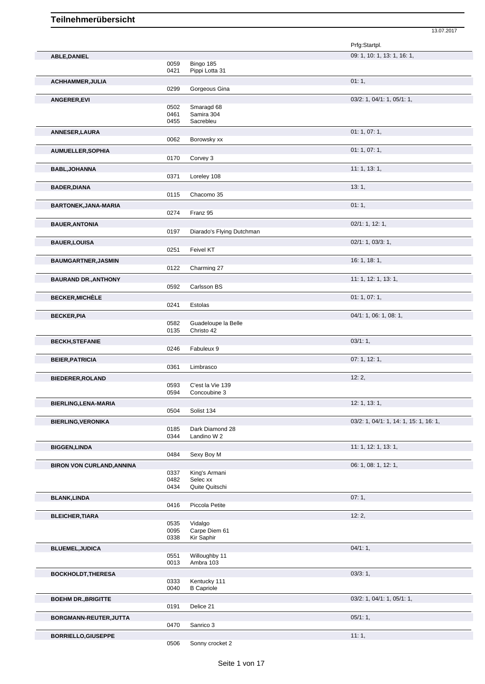|                                  |              |                             | Prfg:Startpl.                          |
|----------------------------------|--------------|-----------------------------|----------------------------------------|
| ABLE, DANIEL                     |              |                             | 09: 1, 10: 1, 13: 1, 16: 1,            |
|                                  | 0059         | Bingo 185                   |                                        |
|                                  | 0421         | Pippi Lotta 31              |                                        |
| <b>ACHHAMMER, JULIA</b>          | 0299         | Gorgeous Gina               | 01:1,                                  |
|                                  |              |                             | 03/2: 1, 04/1: 1, 05/1: 1,             |
| <b>ANGERER,EVI</b>               | 0502         | Smaragd 68                  |                                        |
|                                  | 0461         | Samira 304                  |                                        |
|                                  | 0455         | Sacrebleu                   |                                        |
| <b>ANNESER, LAURA</b>            |              |                             | 01:1,07:1,                             |
|                                  | 0062         | Borowsky xx                 |                                        |
| <b>AUMUELLER, SOPHIA</b>         |              |                             | 01:1,07:1,                             |
|                                  | 0170         | Corvey 3                    |                                        |
| <b>BABL, JOHANNA</b>             | 0371         | Loreley 108                 | 11: 1, 13: 1,                          |
|                                  |              |                             |                                        |
| <b>BADER, DIANA</b>              | 0115         | Chacomo 35                  | 13:1,                                  |
| <b>BARTONEK, JANA-MARIA</b>      |              |                             | 01:1,                                  |
|                                  | 0274         | Franz 95                    |                                        |
| <b>BAUER, ANTONIA</b>            |              |                             | 02/1: 1, 12: 1,                        |
|                                  | 0197         | Diarado's Flying Dutchman   |                                        |
| <b>BAUER, LOUISA</b>             |              |                             | 02/1: 1, 03/3: 1,                      |
|                                  | 0251         | <b>Feivel KT</b>            |                                        |
| <b>BAUMGARTNER, JASMIN</b>       |              |                             | 16: 1, 18: 1,                          |
|                                  | 0122         | Charming 27                 |                                        |
| <b>BAURAND DR., ANTHONY</b>      |              |                             | 11: 1, 12: 1, 13: 1,                   |
|                                  | 0592         | Carlsson BS                 |                                        |
| <b>BECKER, MICHÈLE</b>           |              |                             | 01: 1, 07: 1,                          |
|                                  | 0241         | Estolas                     |                                        |
| <b>BECKER, PIA</b>               | 0582         | Guadeloupe la Belle         | 04/1: 1, 06: 1, 08: 1,                 |
|                                  | 0135         | Christo 42                  |                                        |
|                                  |              |                             | 03/1:1,                                |
|                                  |              |                             |                                        |
| <b>BECKH, STEFANIE</b>           | 0246         | Fabuleux 9                  |                                        |
| <b>BEIER, PATRICIA</b>           |              |                             | 07: 1, 12: 1,                          |
|                                  | 0361         | Limbrasco                   |                                        |
| <b>BIEDERER, ROLAND</b>          |              |                             | 12:2,                                  |
|                                  | 0593         | C'est la Vie 139            |                                        |
|                                  | 0594         | Concoubine 3                |                                        |
| <b>BIERLING, LENA-MARIA</b>      |              |                             | 12: 1, 13: 1,                          |
|                                  | 0504         | Solist 134                  |                                        |
| <b>BIERLING, VERONIKA</b>        | 0185         | Dark Diamond 28             | 03/2: 1, 04/1: 1, 14: 1, 15: 1, 16: 1, |
|                                  | 0344         | Landino W 2                 |                                        |
| <b>BIGGEN,LINDA</b>              |              |                             | 11: 1, 12: 1, 13: 1,                   |
|                                  | 0484         | Sexy Boy M                  |                                        |
| <b>BIRON VON CURLAND, ANNINA</b> |              |                             | 06: 1, 08: 1, 12: 1,                   |
|                                  | 0337         | King's Armani               |                                        |
|                                  | 0482<br>0434 | Selec xx<br>Quite Quitschi  |                                        |
| <b>BLANK,LINDA</b>               |              |                             | 07:1,                                  |
|                                  | 0416         | Piccola Petite              |                                        |
| <b>BLEICHER, TIARA</b>           |              |                             | 12:2,                                  |
|                                  | 0535         | Vidalgo                     |                                        |
|                                  | 0095<br>0338 | Carpe Diem 61<br>Kir Saphir |                                        |
|                                  |              |                             |                                        |
| <b>BLUEMEL, JUDICA</b>           | 0551         | Willoughby 11               | 04/1:1,                                |
|                                  | 0013         | Ambra 103                   |                                        |
| <b>BOCKHOLDT, THERESA</b>        |              |                             | 03/3:1,                                |
|                                  | 0333         | Kentucky 111                |                                        |
|                                  | 0040         | <b>B</b> Capriole           |                                        |
| <b>BOEHM DR., BRIGITTE</b>       |              |                             | 03/2: 1, 04/1: 1, 05/1: 1,             |
| BORGMANN-REUTER, JUTTA           | 0191         | Delice 21                   | 05/1:1,                                |

13.07.2017

**BORRIELLO,GIUSEPPE** 11: 1, 0506 Sonny crocket 2 Sonny crocket 2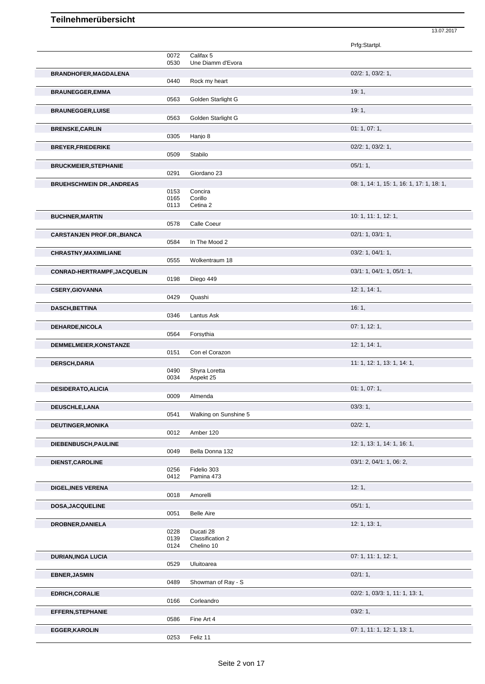|                                    |                      |                                             | Prfg:Startpl.                             |
|------------------------------------|----------------------|---------------------------------------------|-------------------------------------------|
|                                    | 0072                 | Califax 5                                   |                                           |
| <b>BRANDHOFER, MAGDALENA</b>       | 0530                 | Une Diamm d'Evora                           | 02/2: 1, 03/2: 1,                         |
|                                    | 0440                 | Rock my heart                               |                                           |
| <b>BRAUNEGGER,EMMA</b>             | 0563                 | Golden Starlight G                          | 19:1,                                     |
| <b>BRAUNEGGER, LUISE</b>           |                      |                                             | 19:1,                                     |
| <b>BRENSKE, CARLIN</b>             | 0563                 | Golden Starlight G                          | 01:1,07:1,                                |
|                                    | 0305                 | Hanjo 8                                     |                                           |
| <b>BREYER, FRIEDERIKE</b>          | 0509                 | Stabilo                                     | 02/2: 1, 03/2: 1,                         |
| <b>BRUCKMEIER, STEPHANIE</b>       | 0291                 | Giordano 23                                 | 05/1:1,                                   |
| <b>BRUEHSCHWEIN DR., ANDREAS</b>   |                      |                                             | 08: 1, 14: 1, 15: 1, 16: 1, 17: 1, 18: 1, |
|                                    | 0153<br>0165<br>0113 | Concira<br>Corillo<br>Cetina 2              |                                           |
| <b>BUCHNER, MARTIN</b>             | 0578                 | Calle Coeur                                 | 10: 1, 11: 1, 12: 1,                      |
| <b>CARSTANJEN PROF.DR., BIANCA</b> |                      |                                             | 02/1: 1, 03/1: 1,                         |
|                                    | 0584                 | In The Mood 2                               |                                           |
| <b>CHRASTNY, MAXIMILIANE</b>       | 0555                 | Wolkentraum 18                              | 03/2: 1, 04/1: 1,                         |
| CONRAD-HERTRAMPF, JACQUELIN        |                      |                                             | 03/1: 1, 04/1: 1, 05/1: 1,                |
|                                    | 0198                 | Diego 449                                   |                                           |
| <b>CSERY, GIOVANNA</b>             | 0429                 | Quashi                                      | 12: 1, 14: 1,                             |
| <b>DASCH, BETTINA</b>              | 0346                 | Lantus Ask                                  | 16:1,                                     |
| DEHARDE, NICOLA                    |                      |                                             | 07:1, 12:1,                               |
|                                    | 0564                 | Forsythia                                   |                                           |
| DEMMELMEIER, KONSTANZE             | 0151                 | Con el Corazon                              | 12: 1, 14: 1,                             |
| <b>DERSCH, DARIA</b>               |                      |                                             | 11: 1, 12: 1, 13: 1, 14: 1,               |
|                                    | 0490<br>0034         | Shyra Loretta<br>Aspekt 25                  |                                           |
| <b>DESIDERATO, ALICIA</b>          |                      |                                             | 01: 1, 07: 1,                             |
|                                    | 0009                 | Almenda                                     |                                           |
| <b>DEUSCHLE,LANA</b>               | 0541                 | Walking on Sunshine 5                       | 03/3:1,                                   |
| <b>DEUTINGER, MONIKA</b>           |                      |                                             | 02/2: 1,                                  |
|                                    | 0012                 | Amber 120                                   | 12: 1, 13: 1, 14: 1, 16: 1,               |
| DIEBENBUSCH, PAULINE               | 0049                 | Bella Donna 132                             |                                           |
| <b>DIENST, CAROLINE</b>            | 0256                 | Fidelio 303                                 | 03/1: 2, 04/1: 1, 06: 2,                  |
|                                    | 0412                 | Pamina 473                                  |                                           |
| <b>DIGEL, INES VERENA</b>          | 0018                 | Amorelli                                    | 12:1,                                     |
| DOSA, JACQUELINE                   |                      |                                             | 05/1:1,                                   |
|                                    | 0051                 | <b>Belle Aire</b>                           |                                           |
| DROBNER, DANIELA                   | 0228<br>0139<br>0124 | Ducati 28<br>Classification 2<br>Chelino 10 | 12: 1, 13: 1,                             |
| <b>DURIAN, INGA LUCIA</b>          |                      |                                             | 07: 1, 11: 1, 12: 1,                      |
|                                    | 0529                 | Uluitoarea                                  |                                           |
| <b>EBNER, JASMIN</b>               | 0489                 | Showman of Ray - S                          | 02/1:1,                                   |
| <b>EDRICH, CORALIE</b>             |                      |                                             | 02/2: 1, 03/3: 1, 11: 1, 13: 1,           |
| <b>EFFERN, STEPHANIE</b>           | 0166                 | Corleandro                                  | 03/2:1,                                   |
|                                    | 0586                 | Fine Art 4                                  |                                           |
| <b>EGGER, KAROLIN</b>              | 0253                 | Feliz 11                                    | 07: 1, 11: 1, 12: 1, 13: 1,               |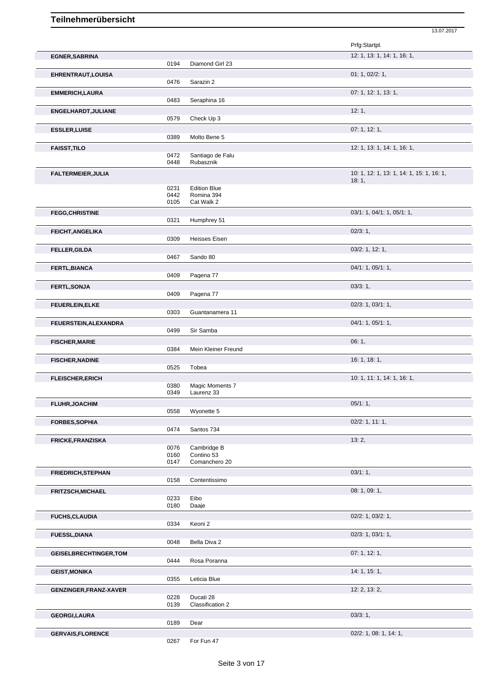|                               |                      |                                                 | Prfg:Startpl.                             |
|-------------------------------|----------------------|-------------------------------------------------|-------------------------------------------|
| <b>EGNER, SABRINA</b>         |                      |                                                 | 12: 1, 13: 1, 14: 1, 16: 1,               |
|                               | 0194                 | Diamond Girl 23                                 |                                           |
| EHRENTRAUT, LOUISA            | 0476                 | Sarazin 2                                       | 01: 1, 02/2: 1,                           |
| <b>EMMERICH, LAURA</b>        |                      |                                                 | 07: 1, 12: 1, 13: 1,                      |
|                               | 0483                 | Seraphina 16                                    |                                           |
| <b>ENGELHARDT, JULIANE</b>    | 0579                 | Check Up 3                                      | 12:1,                                     |
| <b>ESSLER, LUISE</b>          |                      |                                                 | 07: 1, 12: 1,                             |
|                               | 0389                 | Molto Bene 5                                    |                                           |
| <b>FAISST, TILO</b>           | 0472<br>0448         | Santiago de Falu<br>Rubasznik                   | 12: 1, 13: 1, 14: 1, 16: 1,               |
| <b>FALTERMEIER, JULIA</b>     |                      |                                                 | 10: 1, 12: 1, 13: 1, 14: 1, 15: 1, 16: 1, |
|                               | 0231<br>0442<br>0105 | <b>Edition Blue</b><br>Romina 394<br>Cat Walk 2 | 18:1,                                     |
| <b>FEGG, CHRISTINE</b>        |                      |                                                 | 03/1: 1, 04/1: 1, 05/1: 1,                |
|                               | 0321                 | Humphrey 51                                     |                                           |
| <b>FEICHT, ANGELIKA</b>       | 0309                 | Heisses Eisen                                   | 02/3:1,                                   |
| <b>FELLER, GILDA</b>          |                      |                                                 | 03/2: 1, 12: 1,                           |
|                               | 0467                 | Sando 80                                        |                                           |
| FERTL, BIANCA                 |                      |                                                 | 04/1: 1, 05/1: 1,                         |
|                               | 0409                 | Pagena 77                                       |                                           |
| <b>FERTL, SONJA</b>           | 0409                 | Pagena 77                                       | 03/3:1,                                   |
| <b>FEUERLEIN, ELKE</b>        |                      |                                                 | 02/3: 1, 03/1: 1,                         |
|                               | 0303                 | Guantanamera 11                                 |                                           |
| FEUERSTEIN, ALEXANDRA         | 0499                 | Sir Samba                                       | 04/1: 1, 05/1: 1,                         |
| <b>FISCHER, MARIE</b>         |                      |                                                 | 06:1,                                     |
|                               | 0384                 | Mein Kleiner Freund                             |                                           |
| <b>FISCHER, NADINE</b>        |                      | Tobea                                           | 16: 1, 18: 1,                             |
| <b>FLEISCHER, ERICH</b>       | 0525                 |                                                 | 10: 1, 11: 1, 14: 1, 16: 1,               |
|                               | 0380                 | Magic Moments 7                                 |                                           |
|                               | 0349                 | Laurenz 33                                      |                                           |
| <b>FLUHR, JOACHIM</b>         | 0558                 | Wyonette 5                                      | 05/1:1,                                   |
| <b>FORBES, SOPHIA</b>         |                      |                                                 | $02/2$ : 1, 11: 1,                        |
|                               | 0474                 | Santos 734                                      |                                           |
| <b>FRICKE, FRANZISKA</b>      | 0076                 | Cambridge B                                     | 13:2,                                     |
|                               | 0160                 | Contino 53                                      |                                           |
| <b>FRIEDRICH, STEPHAN</b>     | 0147                 | Comanchero 20                                   | 03/1:1,                                   |
|                               | 0158                 | Contentissimo                                   |                                           |
| FRITZSCH, MICHAEL             |                      |                                                 | 08: 1, 09: 1,                             |
|                               | 0233<br>0180         | Eibo<br>Daaje                                   |                                           |
| <b>FUCHS, CLAUDIA</b>         |                      |                                                 | 02/2: 1, 03/2: 1,                         |
|                               | 0334                 | Keoni 2                                         |                                           |
| <b>FUESSL, DIANA</b>          | 0048                 | Bella Diva 2                                    | 02/3: 1, 03/1: 1,                         |
| <b>GEISELBRECHTINGER, TOM</b> |                      |                                                 | 07: 1, 12: 1,                             |
|                               | 0444                 | Rosa Poranna                                    |                                           |
| <b>GEIST, MONIKA</b>          |                      |                                                 | 14: 1, 15: 1,                             |
|                               | 0355                 | Leticia Blue                                    |                                           |
| GENZINGER, FRANZ-XAVER        | 0228<br>0139         | Ducati 28<br>Classification 2                   | 12: 2, 13: 2,                             |
| <b>GEORGI,LAURA</b>           | 0189                 | Dear                                            | 03/3:1,                                   |
| <b>GERVAIS, FLORENCE</b>      |                      |                                                 | 02/2: 1, 08: 1, 14: 1,                    |
|                               | 0267                 | For Fun 47                                      |                                           |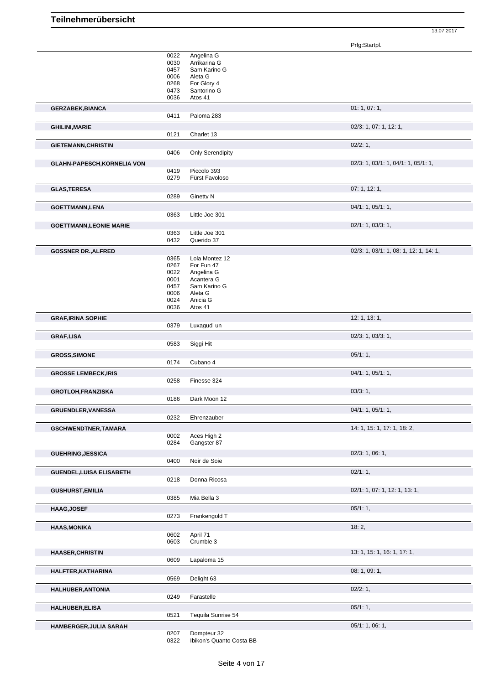13.07.2017

|                                    |                                                              |                                                                                                            | Prfg:Startpl.                                   |
|------------------------------------|--------------------------------------------------------------|------------------------------------------------------------------------------------------------------------|-------------------------------------------------|
|                                    | 0022<br>0030<br>0457<br>0006<br>0268<br>0473<br>0036         | Angelina G<br>Arrikarina G<br>Sam Karino G<br>Aleta G<br>For Glory 4<br>Santorino G<br>Atos 41             |                                                 |
| <b>GERZABEK, BIANCA</b>            | 0411                                                         | Paloma 283                                                                                                 | 01: 1, 07: 1,                                   |
| <b>GHILINI, MARIE</b>              | 0121                                                         | Charlet 13                                                                                                 | 02/3: 1, 07: 1, 12: 1,                          |
| <b>GIETEMANN, CHRISTIN</b>         | 0406                                                         | <b>Only Serendipity</b>                                                                                    | 02/2: 1,                                        |
| <b>GLAHN-PAPESCH, KORNELIA VON</b> | 0419<br>0279                                                 | Piccolo 393<br>Fürst Favoloso                                                                              | $02/3$ : 1, $03/1$ : 1, $04/1$ : 1, $05/1$ : 1, |
| <b>GLAS, TERESA</b>                | 0289                                                         | Ginetty N                                                                                                  | 07: 1, 12: 1,                                   |
| <b>GOETTMANN,LENA</b>              | 0363                                                         | Little Joe 301                                                                                             | 04/1: 1, 05/1: 1,                               |
| <b>GOETTMANN, LEONIE MARIE</b>     | 0363<br>0432                                                 | Little Joe 301<br>Querido 37                                                                               | 02/1: 1, 03/3: 1,                               |
| <b>GOSSNER DR., ALFRED</b>         | 0365<br>0267<br>0022<br>0001<br>0457<br>0006<br>0024<br>0036 | Lola Montez 12<br>For Fun 47<br>Angelina G<br>Acantera G<br>Sam Karino G<br>Aleta G<br>Anicia G<br>Atos 41 | 02/3: 1, 03/1: 1, 08: 1, 12: 1, 14: 1,          |
| <b>GRAF, IRINA SOPHIE</b>          | 0379                                                         | Luxagud' un                                                                                                | 12: 1, 13: 1,                                   |
| <b>GRAF,LISA</b>                   | 0583                                                         | Siggi Hit                                                                                                  | $02/3$ : 1, $03/3$ : 1,                         |
| <b>GROSS, SIMONE</b>               | 0174                                                         | Cubano 4                                                                                                   | 05/1:1,                                         |
| <b>GROSSE LEMBECK, IRIS</b>        | 0258                                                         | Finesse 324                                                                                                | 04/1: 1, 05/1: 1,                               |
| <b>GROTLOH,FRANZISKA</b>           | 0186                                                         | Dark Moon 12                                                                                               | 03/3:1,                                         |
| <b>GRUENDLER, VANESSA</b>          | 0232                                                         | Ehrenzauber                                                                                                | 04/1: 1, 05/1: 1,                               |
| <b>GSCHWENDTNER, TAMARA</b>        | 0002<br>0284                                                 | Aces High 2<br>Gangster 87                                                                                 | 14: 1, 15: 1, 17: 1, 18: 2,                     |
| <b>GUEHRING, JESSICA</b>           | 0400                                                         | Noir de Soie                                                                                               | 02/3: 1, 06: 1,                                 |
| <b>GUENDEL, LUISA ELISABETH</b>    | 0218                                                         | Donna Ricosa                                                                                               | 02/1:1,                                         |
| <b>GUSHURST, EMILIA</b>            | 0385                                                         | Mia Bella 3                                                                                                | 02/1: 1, 07: 1, 12: 1, 13: 1,                   |
| <b>HAAG, JOSEF</b>                 | 0273                                                         | Frankengold T                                                                                              | 05/1:1,                                         |
| <b>HAAS, MONIKA</b>                | 0602<br>0603                                                 | April 71<br>Crumble 3                                                                                      | 18:2,                                           |
| <b>HAASER, CHRISTIN</b>            | 0609                                                         | Lapaloma 15                                                                                                | 13: 1, 15: 1, 16: 1, 17: 1,                     |
| HALFTER, KATHARINA                 | 0569                                                         | Delight 63                                                                                                 | 08:1,09:1,                                      |
| <b>HALHUBER, ANTONIA</b>           | 0249                                                         | Farastelle                                                                                                 | 02/2: 1,                                        |
| HALHUBER, ELISA                    | 0521                                                         | Tequila Sunrise 54                                                                                         | 05/1:1,                                         |
| HAMBERGER, JULIA SARAH             | 0207                                                         | Dompteur 32                                                                                                | 05/1: 1, 06: 1,                                 |

Ibikon's Quanto Costa BB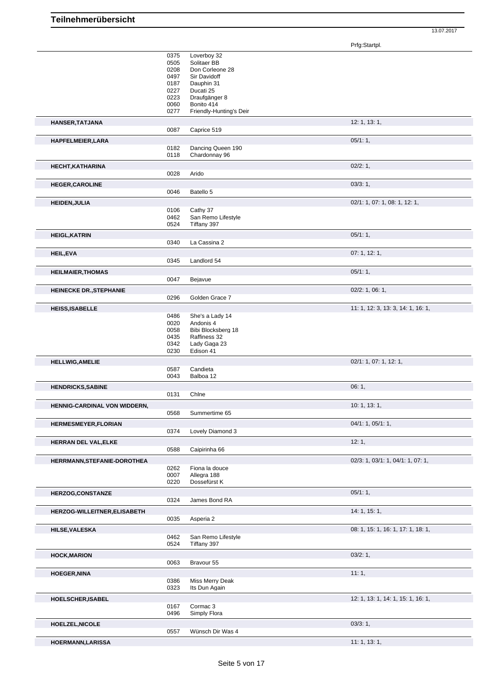13.07.2017

Prfg:Startpl.

|                                     | 0375         | Loverboy 32                        |                                    |
|-------------------------------------|--------------|------------------------------------|------------------------------------|
|                                     | 0505         | Solitaer BB                        |                                    |
|                                     | 0208         | Don Corleone 28                    |                                    |
|                                     | 0497         | Sir Davidoff                       |                                    |
|                                     | 0187<br>0227 | Dauphin 31<br>Ducati 25            |                                    |
|                                     | 0223         | Draufgänger 8                      |                                    |
|                                     | 0060         | Bonito 414                         |                                    |
|                                     | 0277         | Friendly-Hunting's Deir            |                                    |
| <b>HANSER, TATJANA</b>              |              |                                    | 12: 1, 13: 1,                      |
|                                     | 0087         | Caprice 519                        |                                    |
|                                     |              |                                    |                                    |
| HAPFELMEIER, LARA                   |              |                                    | 05/1:1,                            |
|                                     | 0182<br>0118 | Dancing Queen 190<br>Chardonnay 96 |                                    |
|                                     |              |                                    |                                    |
| <b>HECHT, KATHARINA</b>             |              |                                    | 02/2:1,                            |
|                                     | 0028         | Arido                              |                                    |
| <b>HEGER, CAROLINE</b>              |              |                                    | 03/3:1,                            |
|                                     | 0046         | Batello 5                          |                                    |
| <b>HEIDEN, JULIA</b>                |              |                                    | 02/1: 1, 07: 1, 08: 1, 12: 1,      |
|                                     | 0106         | Cathy 37                           |                                    |
|                                     | 0462         | San Remo Lifestyle                 |                                    |
|                                     | 0524         | Tiffany 397                        |                                    |
| <b>HEIGL, KATRIN</b>                |              |                                    | 05/1:1,                            |
|                                     | 0340         | La Cassina 2                       |                                    |
|                                     |              |                                    | 07: 1, 12: 1,                      |
| <b>HEIL, EVA</b>                    | 0345         | Landlord 54                        |                                    |
|                                     |              |                                    |                                    |
| <b>HEILMAIER, THOMAS</b>            |              |                                    | 05/1:1,                            |
|                                     | 0047         | Bejavue                            |                                    |
| <b>HEINECKE DR., STEPHANIE</b>      |              |                                    | $02/2$ : 1, 06: 1,                 |
|                                     | 0296         | Golden Grace 7                     |                                    |
| <b>HEISS, ISABELLE</b>              |              |                                    | 11: 1, 12: 3, 13: 3, 14: 1, 16: 1, |
|                                     | 0486         | She's a Lady 14                    |                                    |
|                                     | 0020         | Andonis 4                          |                                    |
|                                     | 0058         | Bibi Blocksberg 18                 |                                    |
|                                     | 0435<br>0342 | Raffiness 32<br>Lady Gaga 23       |                                    |
|                                     | 0230         | Edison 41                          |                                    |
|                                     |              |                                    |                                    |
| <b>HELLWIG, AMELIE</b>              | 0587         | Candieta                           | 02/1: 1, 07: 1, 12: 1,             |
|                                     | 0043         | Balboa 12                          |                                    |
|                                     |              |                                    |                                    |
| <b>HENDRICKS, SABINE</b>            | 0131         | Chine                              | 06:1,                              |
|                                     |              |                                    |                                    |
| <b>HENNIG-CARDINAL VON WIDDERN,</b> |              |                                    | 10: 1, 13: 1,                      |
|                                     | 0568         | Summertime 65                      |                                    |
| <b>HERMESMEYER, FLORIAN</b>         |              |                                    | 04/1: 1, 05/1: 1,                  |
|                                     | 0374         | Lovely Diamond 3                   |                                    |
| HERRAN DEL VAL, ELKE                |              |                                    | 12:1,                              |
|                                     | 0588         | Caipirinha 66                      |                                    |
| HERRMANN, STEFANIE-DOROTHEA         |              |                                    | 02/3: 1, 03/1: 1, 04/1: 1, 07: 1,  |
|                                     | 0262         | Fiona la douce                     |                                    |
|                                     | 0007         | Allegra 188                        |                                    |
|                                     | 0220         | Dossefürst K                       |                                    |
| <b>HERZOG,CONSTANZE</b>             |              |                                    | 05/1:1,                            |
|                                     | 0324         | James Bond RA                      |                                    |
| HERZOG-WILLEITNER, ELISABETH        |              |                                    | 14: 1, 15: 1,                      |
|                                     | 0035         | Asperia 2                          |                                    |
|                                     |              |                                    |                                    |
| <b>HILSE, VALESKA</b>               |              |                                    | 08: 1, 15: 1, 16: 1, 17: 1, 18: 1, |
|                                     | 0462<br>0524 | San Remo Lifestyle<br>Tiffany 397  |                                    |
|                                     |              |                                    |                                    |
| <b>HOCK, MARION</b>                 |              |                                    | 03/2:1,                            |
|                                     | 0063         | Bravour 55                         |                                    |
| <b>HOEGER, NINA</b>                 |              |                                    | 11:1,                              |
|                                     | 0386         | Miss Merry Deak                    |                                    |
|                                     | 0323         | Its Dun Again                      |                                    |
| <b>HOELSCHER, ISABEL</b>            |              |                                    | 12: 1, 13: 1, 14: 1, 15: 1, 16: 1, |
|                                     | 0167         | Cormac 3                           |                                    |
|                                     | 0496         | Simply Flora                       |                                    |
| <b>HOELZEL, NICOLE</b>              |              |                                    | 03/3:1,                            |
|                                     | 0557         | Wünsch Dir Was 4                   |                                    |
|                                     |              |                                    |                                    |
| <b>HOERMANN, LARISSA</b>            |              |                                    | 11: 1, 13: 1,                      |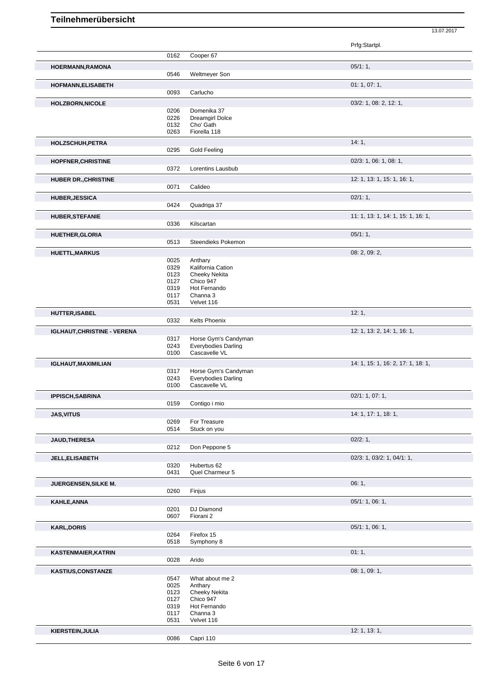|                                    |              |                                                    | Prfg:Startpl.                      |
|------------------------------------|--------------|----------------------------------------------------|------------------------------------|
|                                    | 0162         | Cooper 67                                          |                                    |
| <b>HOERMANN, RAMONA</b>            |              |                                                    | 05/1:1,                            |
|                                    | 0546         | Weltmeyer Son                                      |                                    |
| HOFMANN, ELISABETH                 |              |                                                    | 01: 1, 07: 1,                      |
|                                    | 0093         | Carlucho                                           |                                    |
| <b>HOLZBORN, NICOLE</b>            |              |                                                    | 03/2: 1, 08: 2, 12: 1,             |
|                                    | 0206<br>0226 | Domenika 37<br><b>Dreamgirl Dolce</b>              |                                    |
|                                    | 0132         | Cho' Gath                                          |                                    |
|                                    | 0263         | Fiorella 118                                       |                                    |
| HOLZSCHUH, PETRA                   |              |                                                    | 14:1,                              |
|                                    | 0295         | Gold Feeling                                       |                                    |
| <b>HOPFNER, CHRISTINE</b>          |              |                                                    | 02/3: 1, 06: 1, 08: 1,             |
|                                    | 0372         | Lorentins Lausbub                                  |                                    |
| HUBER DR., CHRISTINE               |              |                                                    | 12: 1, 13: 1, 15: 1, 16: 1,        |
|                                    | 0071         | Calideo                                            |                                    |
| <b>HUBER, JESSICA</b>              | 0424         |                                                    | $02/1:1$ ,                         |
|                                    |              | Quadriga 37                                        |                                    |
| <b>HUBER, STEFANIE</b>             | 0336         | Kilscartan                                         | 11: 1, 13: 1, 14: 1, 15: 1, 16: 1, |
|                                    |              |                                                    |                                    |
| <b>HUETHER, GLORIA</b>             | 0513         | Steendieks Pokemon                                 | 05/1:1,                            |
| <b>HUETTL, MARKUS</b>              |              |                                                    | 08: 2, 09: 2,                      |
|                                    | 0025         | Anthary                                            |                                    |
|                                    | 0329         | Kalifornia Cation                                  |                                    |
|                                    | 0123<br>0127 | Cheeky Nekita<br>Chico 947                         |                                    |
|                                    | 0319         | Hot Fernando                                       |                                    |
|                                    | 0117         | Channa 3                                           |                                    |
|                                    | 0531         | Velvet 116                                         |                                    |
| <b>HUTTER, ISABEL</b>              | 0332         | <b>Kelts Phoenix</b>                               | 12:1,                              |
|                                    |              |                                                    |                                    |
| <b>IGLHAUT, CHRISTINE - VERENA</b> | 0317         | Horse Gym's Candyman                               | 12: 1, 13: 2, 14: 1, 16: 1,        |
|                                    | 0243         | <b>Everybodies Darling</b>                         |                                    |
|                                    | 0100         | Cascavelle VL                                      |                                    |
| <b>IGLHAUT, MAXIMILIAN</b>         |              |                                                    | 14: 1, 15: 1, 16: 2, 17: 1, 18: 1, |
|                                    | 0317<br>0243 | Horse Gym's Candyman<br><b>Everybodies Darling</b> |                                    |
|                                    | 0100         | Cascavelle VL                                      |                                    |
| <b>IPPISCH, SABRINA</b>            |              |                                                    | 02/1: 1, 07: 1,                    |
|                                    |              | 0159 Contigo i mio                                 |                                    |
| <b>JAS, VITUS</b>                  |              |                                                    | 14: 1, 17: 1, 18: 1,               |
|                                    | 0269         | For Treasure                                       |                                    |
|                                    | 0514         | Stuck on you                                       |                                    |
| <b>JAUD, THERESA</b>               | 0212         | Don Peppone 5                                      | 02/2:1,                            |
|                                    |              |                                                    |                                    |
| <b>JELL, ELISABETH</b>             | 0320         | Hubertus 62                                        | 02/3: 1, 03/2: 1, 04/1: 1,         |
|                                    | 0431         | Quel Charmeur 5                                    |                                    |
| JUERGENSEN, SILKE M.               |              |                                                    | 06:1,                              |
|                                    | 0260         | Finjus                                             |                                    |
| KAHLE, ANNA                        |              |                                                    | 05/1: 1, 06: 1,                    |
|                                    | 0201         | DJ Diamond                                         |                                    |
|                                    | 0607         | Fiorani 2                                          |                                    |
| <b>KARL, DORIS</b>                 |              |                                                    | 05/1: 1, 06: 1,                    |
|                                    | 0264<br>0518 | Firefox 15<br>Symphony 8                           |                                    |
| <b>KASTENMAIER, KATRIN</b>         |              |                                                    | 01:1,                              |
|                                    | 0028         | Arido                                              |                                    |
| <b>KASTIUS, CONSTANZE</b>          |              |                                                    | 08: 1, 09: 1,                      |
|                                    | 0547         | What about me 2                                    |                                    |
|                                    | 0025         | Anthary                                            |                                    |
|                                    | 0123<br>0127 | Cheeky Nekita<br>Chico 947                         |                                    |
|                                    | 0319         | Hot Fernando                                       |                                    |
|                                    | 0117<br>0531 | Channa 3<br>Velvet 116                             |                                    |
|                                    |              |                                                    |                                    |
| KIERSTEIN, JULIA                   | 0086         | Capri 110                                          | 12: 1, 13: 1,                      |
|                                    |              |                                                    |                                    |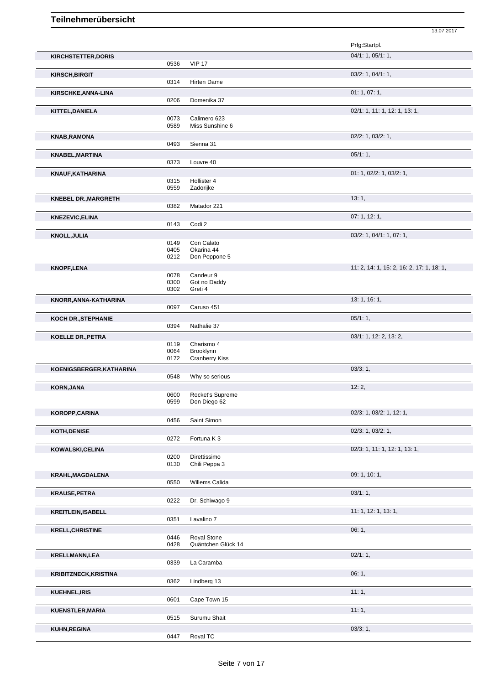|                              |              |                                   | Prfg:Startpl.                             |
|------------------------------|--------------|-----------------------------------|-------------------------------------------|
| <b>KIRCHSTETTER, DORIS</b>   | 0536         | <b>VIP 17</b>                     | $04/1$ : 1, $05/1$ : 1,                   |
| <b>KIRSCH, BIRGIT</b>        |              |                                   | 03/2: 1, 04/1: 1,                         |
|                              | 0314         | Hirten Dame                       |                                           |
| KIRSCHKE, ANNA-LINA          | 0206         | Domenika 37                       | 01: 1, 07: 1,                             |
|                              |              |                                   |                                           |
| KITTEL, DANIELA              | 0073         | Calimero 623                      | 02/1: 1, 11: 1, 12: 1, 13: 1,             |
|                              | 0589         | Miss Sunshine 6                   |                                           |
| <b>KNAB, RAMONA</b>          |              |                                   | 02/2: 1, 03/2: 1,                         |
|                              | 0493         | Sienna 31                         |                                           |
| <b>KNABEL, MARTINA</b>       | 0373         | Louvre 40                         | 05/1:1,                                   |
| KNAUF, KATHARINA             |              |                                   | 01: 1, 02/2: 1, 03/2: 1,                  |
|                              | 0315         | Hollister 4                       |                                           |
|                              | 0559         | Zadorijke                         |                                           |
| <b>KNEBEL DR., MARGRETH</b>  |              |                                   | 13:1,                                     |
|                              | 0382         | Matador 221                       |                                           |
| <b>KNEZEVIC, ELINA</b>       | 0143         | Codi 2                            | 07:1, 12:1,                               |
| <b>KNOLL, JULIA</b>          |              |                                   | 03/2: 1, 04/1: 1, 07: 1,                  |
|                              | 0149         | Con Calato                        |                                           |
|                              | 0405<br>0212 | Okarina 44<br>Don Peppone 5       |                                           |
|                              |              |                                   | 11: 2, 14: 1, 15: 2, 16: 2, 17: 1, 18: 1, |
| <b>KNOPF,LENA</b>            | 0078         | Candeur 9                         |                                           |
|                              | 0300         | Got no Daddy                      |                                           |
|                              | 0302         | Greti 4                           |                                           |
| KNORR, ANNA-KATHARINA        | 0097         | Caruso 451                        | 13: 1, 16: 1,                             |
| <b>KOCH DR., STEPHANIE</b>   |              |                                   | 05/1:1,                                   |
|                              | 0394         | Nathalie 37                       |                                           |
| <b>KOELLE DR., PETRA</b>     |              |                                   | 03/1: 1, 12: 2, 13: 2,                    |
|                              | 0119<br>0064 | Charismo 4<br>Brooklynn           |                                           |
|                              | 0172         | <b>Cranberry Kiss</b>             |                                           |
| KOENIGSBERGER, KATHARINA     |              |                                   | 03/3:1,                                   |
|                              | 0548         | Why so serious                    |                                           |
| <b>KORN, JANA</b>            | 0600         | Rocket's Supreme                  | 12:2,                                     |
|                              | 0599         | Don Diego 62                      |                                           |
| <b>KOROPP,CARINA</b>         |              |                                   | 02/3: 1, 03/2: 1, 12: 1,                  |
|                              | 0456         | Saint Simon                       |                                           |
| <b>KOTH, DENISE</b>          | 0272         | Fortuna K 3                       | 02/3: 1, 03/2: 1,                         |
| <b>KOWALSKI,CELINA</b>       |              |                                   | 02/3: 1, 11: 1, 12: 1, 13: 1,             |
|                              | 0200         | Direttissimo                      |                                           |
|                              | 0130         | Chili Peppa 3                     |                                           |
| <b>KRAHL, MAGDALENA</b>      | 0550         | Willems Calida                    | 09: 1, 10: 1,                             |
|                              |              |                                   | $03/1:1$ ,                                |
| <b>KRAUSE, PETRA</b>         | 0222         | Dr. Schiwago 9                    |                                           |
| <b>KREITLEIN, ISABELL</b>    |              |                                   | 11: 1, 12: 1, 13: 1,                      |
|                              | 0351         | Lavalino 7                        |                                           |
| <b>KRELL, CHRISTINE</b>      |              |                                   | 06:1,                                     |
|                              | 0446<br>0428 | Royal Stone<br>Quäntchen Glück 14 |                                           |
| <b>KRELLMANN,LEA</b>         |              |                                   | 02/1:1,                                   |
|                              | 0339         | La Caramba                        |                                           |
| <b>KRIBITZNECK, KRISTINA</b> |              |                                   | 06:1,                                     |
|                              | 0362         | Lindberg 13                       |                                           |
| <b>KUEHNEL, IRIS</b>         | 0601         | Cape Town 15                      | 11:1,                                     |
|                              |              |                                   | 11:1,                                     |
| KUENSTLER, MARIA             | 0515         | Surumu Shait                      |                                           |
| <b>KUHN, REGINA</b>          |              |                                   | 03/3:1,                                   |
|                              | 0447         | Royal TC                          |                                           |

13.07.2017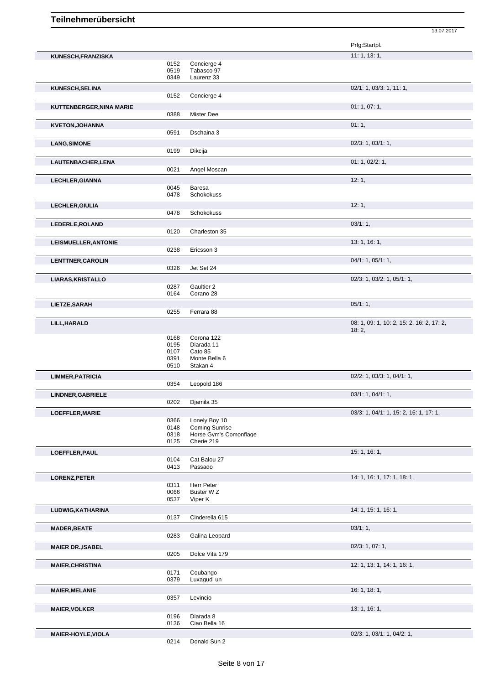|                                 |              |                            | Prfg:Startpl.                             |
|---------------------------------|--------------|----------------------------|-------------------------------------------|
|                                 |              |                            |                                           |
| KUNESCH, FRANZISKA              |              |                            | 11: 1, 13: 1,                             |
|                                 | 0152<br>0519 | Concierge 4<br>Tabasco 97  |                                           |
|                                 | 0349         | Laurenz 33                 |                                           |
|                                 |              |                            |                                           |
| KUNESCH, SELINA                 |              |                            | 02/1: 1, 03/3: 1, 11: 1,                  |
|                                 | 0152         | Concierge 4                |                                           |
|                                 |              |                            | 01: 1, 07: 1,                             |
| <b>KUTTENBERGER, NINA MARIE</b> |              |                            |                                           |
|                                 | 0388         | Mister Dee                 |                                           |
| <b>KVETON, JOHANNA</b>          |              |                            | 01:1,                                     |
|                                 | 0591         | Dschaina 3                 |                                           |
| <b>LANG, SIMONE</b>             |              |                            | 02/3: 1, 03/1: 1,                         |
|                                 | 0199         | Dikcija                    |                                           |
|                                 |              |                            |                                           |
| LAUTENBACHER, LENA              |              |                            | 01: 1, 02/2: 1,                           |
|                                 | 0021         | Angel Moscan               |                                           |
|                                 |              |                            | 12:1,                                     |
| <b>LECHLER, GIANNA</b>          |              | Baresa                     |                                           |
|                                 | 0045<br>0478 | Schokokuss                 |                                           |
|                                 |              |                            |                                           |
| LECHLER, GIULIA                 |              |                            | 12:1,                                     |
|                                 | 0478         | Schokokuss                 |                                           |
|                                 |              |                            | 03/1:1                                    |
| LEDERLE, ROLAND                 |              |                            |                                           |
|                                 | 0120         | Charleston 35              |                                           |
| LEISMUELLER, ANTONIE            |              |                            | 13: 1, 16: 1,                             |
|                                 | 0238         | Ericsson 3                 |                                           |
|                                 |              |                            |                                           |
| LENTTNER, CAROLIN               |              |                            | 04/1: 1, 05/1: 1,                         |
|                                 | 0326         | Jet Set 24                 |                                           |
| LIARAS, KRISTALLO               |              |                            | 02/3: 1, 03/2: 1, 05/1: 1,                |
|                                 | 0287         | Gaultier 2                 |                                           |
|                                 | 0164         | Corano 28                  |                                           |
|                                 |              |                            |                                           |
| LIETZE, SARAH                   |              |                            | 05/1:1,                                   |
|                                 | 0255         | Ferrara 88                 |                                           |
| LILL, HARALD                    |              |                            | 08: 1, 09: 1, 10: 2, 15: 2, 16: 2, 17: 2, |
|                                 |              |                            | 18:2,                                     |
|                                 | 0168         | Corona 122                 |                                           |
|                                 | 0195         | Diarada 11                 |                                           |
|                                 | 0107         | Cato 85                    |                                           |
|                                 | 0391         | Monte Bella 6              |                                           |
|                                 | 0510         | Stakan 4                   |                                           |
| <b>LIMMER, PATRICIA</b>         |              |                            | 02/2: 1, 03/3: 1, 04/1: 1,                |
|                                 | 0354         | Leopold 186                |                                           |
|                                 |              |                            |                                           |
| <b>LINDNER, GABRIELE</b>        |              |                            | 03/1: 1, 04/1: 1,                         |
|                                 |              | 0202 Djamila 35            |                                           |
| LOEFFLER, MARIE                 |              |                            | 03/3: 1, 04/1: 1, 15: 2, 16: 1, 17: 1,    |
|                                 | 0366         | Lonely Boy 10              |                                           |
|                                 | 0148         | <b>Coming Sunrise</b>      |                                           |
|                                 | 0318         | Horse Gym's Comonflage     |                                           |
|                                 | 0125         | Cherie 219                 |                                           |
|                                 |              |                            |                                           |
| LOEFFLER, PAUL                  |              |                            | 15: 1, 16: 1,                             |
|                                 | 0104         | Cat Balou 27               |                                           |
|                                 | 0413         | Passado                    |                                           |
| LORENZ, PETER                   |              |                            | 14: 1, 16: 1, 17: 1, 18: 1,               |
|                                 | 0311         | Herr Peter                 |                                           |
|                                 | 0066         | Buster W Z                 |                                           |
|                                 | 0537         | Viper K                    |                                           |
|                                 |              |                            |                                           |
| LUDWIG, KATHARINA               |              |                            | 14: 1, 15: 1, 16: 1,                      |
|                                 | 0137         | Cinderella 615             |                                           |
| <b>MADER, BEATE</b>             |              |                            | 03/1:1,                                   |
|                                 | 0283         | Galina Leopard             |                                           |
|                                 |              |                            |                                           |
| <b>MAIER DR., ISABEL</b>        |              |                            | 02/3: 1, 07: 1,                           |
|                                 | 0205         | Dolce Vita 179             |                                           |
| <b>MAIER, CHRISTINA</b>         |              |                            | 12: 1, 13: 1, 14: 1, 16: 1,               |
|                                 | 0171         | Coubango                   |                                           |
|                                 | 0379         | Luxagud' un                |                                           |
|                                 |              |                            |                                           |
| <b>MAIER, MELANIE</b>           |              |                            | 16: 1, 18: 1,                             |
|                                 | 0357         | Levincio                   |                                           |
|                                 |              |                            | 13: 1, 16: 1,                             |
| <b>MAIER, VOLKER</b>            |              |                            |                                           |
|                                 | 0196<br>0136 | Diarada 8<br>Ciao Bella 16 |                                           |
|                                 |              |                            |                                           |
| <b>MAIER-HOYLE, VIOLA</b>       |              |                            | 02/3: 1, 03/1: 1, 04/2: 1,                |

13.07.2017

0214 Donald Sun 2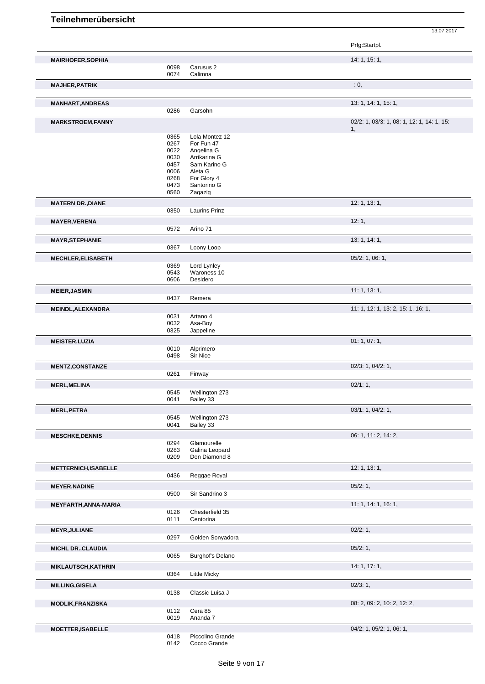13.07.2017

|                             |              |                                  | Prfg:Startpl.                              |
|-----------------------------|--------------|----------------------------------|--------------------------------------------|
| <b>MAIRHOFER, SOPHIA</b>    |              |                                  | 14: 1, 15: 1,                              |
|                             | 0098<br>0074 | Carusus 2<br>Calimna             |                                            |
| <b>MAJHER, PATRIK</b>       |              |                                  | : 0,                                       |
|                             |              |                                  |                                            |
| <b>MANHART, ANDREAS</b>     | 0286         | Garsohn                          | 13: 1, 14: 1, 15: 1,                       |
| <b>MARKSTROEM,FANNY</b>     |              |                                  | 02/2: 1, 03/3: 1, 08: 1, 12: 1, 14: 1, 15: |
|                             | 0365         | Lola Montez 12                   | 1,                                         |
|                             | 0267         | For Fun 47                       |                                            |
|                             | 0022         | Angelina G                       |                                            |
|                             | 0030         | Arrikarina G                     |                                            |
|                             | 0457         | Sam Karino G                     |                                            |
|                             | 0006         | Aleta G                          |                                            |
|                             | 0268<br>0473 | For Glory 4<br>Santorino G       |                                            |
|                             | 0560         | Zagazig                          |                                            |
| <b>MATERN DR., DIANE</b>    |              |                                  | 12: 1, 13: 1,                              |
|                             | 0350         | Laurins Prinz                    |                                            |
| <b>MAYER, VERENA</b>        |              |                                  | 12:1,                                      |
|                             | 0572         | Arino 71                         |                                            |
| <b>MAYR, STEPHANIE</b>      | 0367         | Loony Loop                       | 13: 1, 14: 1,                              |
|                             |              |                                  |                                            |
| <b>MECHLER, ELISABETH</b>   | 0369         | Lord Lynley                      | 05/2: 1, 06: 1,                            |
|                             | 0543         | Waroness 10                      |                                            |
|                             | 0606         | Desidero                         |                                            |
| <b>MEIER, JASMIN</b>        |              |                                  | 11: 1, 13: 1,                              |
|                             | 0437         | Remera                           |                                            |
| <b>MEINDL, ALEXANDRA</b>    |              |                                  | 11: 1, 12: 1, 13: 2, 15: 1, 16: 1,         |
|                             | 0031         | Artano 4                         |                                            |
|                             | 0032         | Asa-Boy                          |                                            |
|                             | 0325         | Jappeline                        |                                            |
| <b>MEISTER, LUZIA</b>       |              |                                  | 01: 1, 07: 1,                              |
|                             | 0010<br>0498 | Alprimero<br><b>Sir Nice</b>     |                                            |
| <b>MENTZ,CONSTANZE</b>      |              |                                  | 02/3: 1, 04/2: 1,                          |
|                             | 0261         | Finway                           |                                            |
| <b>MERL, MELINA</b>         |              |                                  | 02/1:1,                                    |
|                             | 0545         | Wellington 273                   |                                            |
|                             | 0041         | Bailey 33                        |                                            |
| <b>MERL, PETRA</b>          |              |                                  | 03/1: 1, 04/2: 1,                          |
|                             | 0545         | Wellington 273                   |                                            |
|                             | 0041         | Bailey 33                        |                                            |
| <b>MESCHKE, DENNIS</b>      |              |                                  | 06: 1, 11: 2, 14: 2,                       |
|                             | 0294<br>0283 | Glamourelle<br>Galina Leopard    |                                            |
|                             | 0209         | Don Diamond 8                    |                                            |
| <b>METTERNICH, ISABELLE</b> |              |                                  | 12: 1, 13: 1,                              |
|                             | 0436         | Reggae Royal                     |                                            |
| <b>MEYER, NADINE</b>        |              |                                  | 05/2:1,                                    |
|                             | 0500         | Sir Sandrino 3                   |                                            |
| <b>MEYFARTH, ANNA-MARIA</b> |              |                                  | 11: 1, 14: 1, 16: 1,                       |
|                             | 0126         | Chesterfield 35                  |                                            |
|                             | 0111         | Centorina                        |                                            |
| <b>MEYR, JULIANE</b>        |              |                                  | 02/2:1,                                    |
|                             | 0297         | Golden Sonyadora                 |                                            |
| <b>MICHL DR., CLAUDIA</b>   |              |                                  | 05/2:1,                                    |
|                             | 0065         | Burghof's Delano                 |                                            |
| <b>MIKLAUTSCH, KATHRIN</b>  |              |                                  | 14: 1, 17: 1,                              |
|                             | 0364         | Little Micky                     |                                            |
| <b>MILLING, GISELA</b>      |              |                                  | 02/3:1,                                    |
|                             | 0138         | Classic Luisa J                  |                                            |
| <b>MODLIK, FRANZISKA</b>    |              |                                  | 08: 2, 09: 2, 10: 2, 12: 2,                |
|                             | 0112<br>0019 | Cera 85<br>Ananda 7              |                                            |
|                             |              |                                  |                                            |
| <b>MOETTER, ISABELLE</b>    |              |                                  | 04/2: 1, 05/2: 1, 06: 1,                   |
|                             | 0418<br>0142 | Piccolino Grande<br>Cocco Grande |                                            |
|                             |              |                                  |                                            |

Seite 9 von 17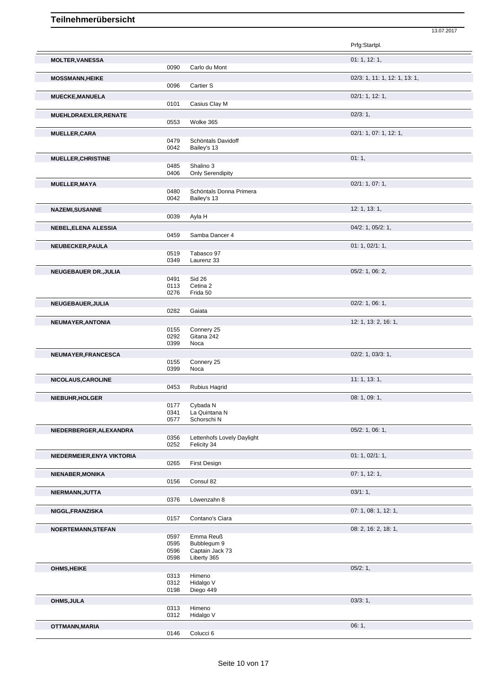|                              |              |                                           | Prfg:Startpl.                 |
|------------------------------|--------------|-------------------------------------------|-------------------------------|
| <b>MOLTER, VANESSA</b>       |              |                                           | 01: 1, 12: 1,                 |
|                              | 0090         | Carlo du Mont                             |                               |
| <b>MOSSMANN, HEIKE</b>       |              |                                           | 02/3: 1, 11: 1, 12: 1, 13: 1, |
|                              | 0096         | Cartier S                                 |                               |
| <b>MUECKE, MANUELA</b>       |              |                                           | 02/1: 1, 12: 1,               |
|                              | 0101         | Casius Clay M                             |                               |
| MUEHLDRAEXLER, RENATE        | 0553         | Wolke 365                                 | 02/3:1,                       |
|                              |              |                                           | 02/1: 1, 07: 1, 12: 1,        |
| <b>MUELLER, CARA</b>         | 0479         | Schöntals Davidoff                        |                               |
|                              | 0042         | Bailey's 13                               |                               |
| <b>MUELLER, CHRISTINE</b>    |              |                                           | 01:1,                         |
|                              | 0485<br>0406 | Shalino 3<br><b>Only Serendipity</b>      |                               |
|                              |              |                                           | 02/1: 1, 07: 1,               |
| <b>MUELLER, MAYA</b>         | 0480         | Schöntals Donna Primera                   |                               |
|                              | 0042         | Bailey's 13                               |                               |
| <b>NAZEMI, SUSANNE</b>       |              |                                           | 12: 1, 13: 1,                 |
|                              | 0039         | Ayla H                                    |                               |
| NEBEL, ELENA ALESSIA         |              |                                           | 04/2: 1, 05/2: 1,             |
|                              | 0459         | Samba Dancer 4                            |                               |
| NEUBECKER, PAULA             |              |                                           | 01: 1, 02/1: 1,               |
|                              | 0519<br>0349 | Tabasco 97<br>Laurenz 33                  |                               |
| <b>NEUGEBAUER DR., JULIA</b> |              |                                           | 05/2: 1, 06: 2,               |
|                              | 0491         | <b>Sid 26</b>                             |                               |
|                              | 0113<br>0276 | Cetina 2<br>Frida 50                      |                               |
|                              |              |                                           |                               |
| NEUGEBAUER, JULIA            | 0282         | Gaiata                                    | $02/2$ : 1, 06: 1,            |
| <b>NEUMAYER, ANTONIA</b>     |              |                                           | 12: 1, 13: 2, 16: 1,          |
|                              | 0155         | Connery 25                                |                               |
|                              | 0292<br>0399 | Gitana 242<br>Noca                        |                               |
|                              |              |                                           |                               |
| NEUMAYER, FRANCESCA          | 0155         | Connery 25                                | 02/2: 1, 03/3: 1,             |
|                              | 0399         | Noca                                      |                               |
| NICOLAUS, CAROLINE           |              |                                           | 11: 1, 13: 1,                 |
|                              | 0453         | Rubius Hagrid                             |                               |
| NIEBUHR, HOLGER              |              |                                           | 08: 1, 09: 1,                 |
|                              | 0177<br>0341 | Cybada N<br>La Quintana N                 |                               |
|                              | 0577         | Schorschi N                               |                               |
| NIEDERBERGER, ALEXANDRA      |              |                                           | 05/2: 1, 06: 1,               |
|                              | 0356<br>0252 | Lettenhofs Lovely Daylight<br>Felicity 34 |                               |
|                              |              |                                           |                               |
| NIEDERMEIER, ENYA VIKTORIA   | 0265         | <b>First Design</b>                       | 01: 1, 02/1: 1,               |
| NIENABER, MONIKA             |              |                                           | 07: 1, 12: 1,                 |
|                              | 0156         | Consul 82                                 |                               |
| NIERMANN, JUTTA              |              |                                           | 03/1:1,                       |
|                              | 0376         | Löwenzahn 8                               |                               |
| NIGGL, FRANZISKA             |              |                                           | 07: 1, 08: 1, 12: 1,          |
|                              | 0157         | Contano's Ciara                           |                               |
| NOERTEMANN, STEFAN           |              |                                           | 08: 2, 16: 2, 18: 1,          |
|                              | 0597<br>0595 | Emma Reuß<br>Bubblegum 9                  |                               |
|                              | 0596         | Captain Jack 73                           |                               |
|                              | 0598         | Liberty 365                               |                               |
| <b>OHMS, HEIKE</b>           |              |                                           | 05/2:1,                       |
|                              | 0313<br>0312 | Himeno<br>Hidalgo V                       |                               |
|                              | 0400         | D <sub>2</sub> 22.440                     |                               |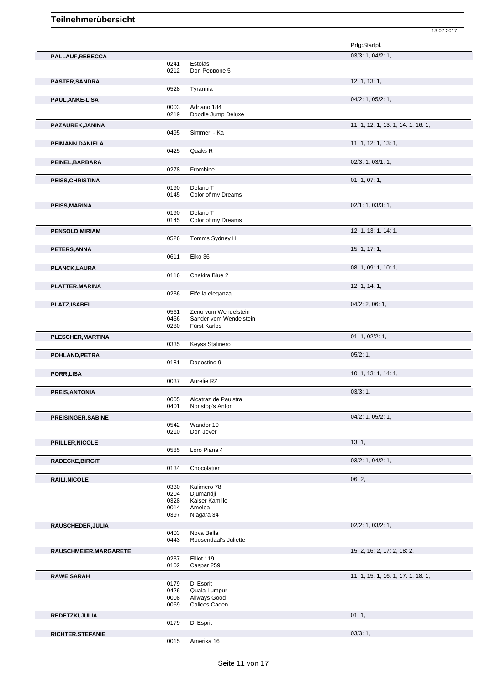|                           |              |                                         | Prfg:Startpl.                      |
|---------------------------|--------------|-----------------------------------------|------------------------------------|
| PALLAUF, REBECCA          |              |                                         | 03/3: 1, 04/2: 1,                  |
|                           | 0241         | Estolas                                 |                                    |
|                           | 0212         | Don Peppone 5                           |                                    |
| <b>PASTER, SANDRA</b>     |              |                                         | 12: 1, 13: 1,                      |
|                           | 0528         | Tyrannia                                |                                    |
| PAUL, ANKE-LISA           |              |                                         | 04/2: 1, 05/2: 1,                  |
|                           | 0003         | Adriano 184                             |                                    |
|                           | 0219         | Doodle Jump Deluxe                      |                                    |
| PAZAUREK, JANINA          |              |                                         | 11: 1, 12: 1, 13: 1, 14: 1, 16: 1, |
|                           | 0495         | Simmerl - Ka                            |                                    |
| PEIMANN, DANIELA          |              |                                         | 11: 1, 12: 1, 13: 1,               |
|                           | 0425         | Quaks R                                 |                                    |
| PEINEL, BARBARA           |              |                                         | 02/3: 1, 03/1: 1,                  |
|                           | 0278         | Frombine                                |                                    |
|                           |              |                                         | 01:1,07:1,                         |
| PEISS, CHRISTINA          | 0190         | Delano T                                |                                    |
|                           | 0145         | Color of my Dreams                      |                                    |
| <b>PEISS, MARINA</b>      |              |                                         | 02/1: 1, 03/3: 1,                  |
|                           | 0190         | Delano T                                |                                    |
|                           | 0145         | Color of my Dreams                      |                                    |
| <b>PENSOLD, MIRIAM</b>    |              |                                         | 12: 1, 13: 1, 14: 1,               |
|                           | 0526         | Tomms Sydney H                          |                                    |
|                           |              |                                         | 15: 1, 17: 1,                      |
| PETERS, ANNA              | 0611         | Eiko 36                                 |                                    |
|                           |              |                                         |                                    |
| PLANCK, LAURA             | 0116         | Chakira Blue 2                          | 08: 1, 09: 1, 10: 1,               |
|                           |              |                                         |                                    |
| PLATTER, MARINA           |              |                                         | 12: 1, 14: 1,                      |
|                           | 0236         | Elfe la eleganza                        |                                    |
| <b>PLATZ, ISABEL</b>      |              |                                         | $04/2$ : 2, 06: 1,                 |
|                           | 0561         | Zeno vom Wendelstein                    |                                    |
|                           | 0466<br>0280 | Sander vom Wendelstein<br>Fürst Karlos  |                                    |
|                           |              |                                         |                                    |
| PLESCHER, MARTINA         | 0335         | Keyss Stalinero                         | 01: 1, 02/2: 1,                    |
|                           |              |                                         |                                    |
| POHLAND, PETRA            | 0181         | Dagostino 9                             | 05/2:1,                            |
|                           |              |                                         |                                    |
| PORR, LISA                |              |                                         | 10: 1, 13: 1, 14: 1,               |
|                           | 0037         | Aurelie RZ                              |                                    |
| PREIS, ANTONIA            |              |                                         | 03/3:1,                            |
|                           | 0005<br>0401 | Alcatraz de Paulstra<br>Nonstop's Anton |                                    |
|                           |              |                                         |                                    |
| <b>PREISINGER, SABINE</b> |              |                                         | 04/2: 1, 05/2: 1,                  |
|                           | 0542<br>0210 | Wandor 10<br>Don Jever                  |                                    |
|                           |              |                                         |                                    |
| <b>PRILLER, NICOLE</b>    |              | Loro Piana 4                            | 13:1,                              |
|                           | 0585         |                                         |                                    |
| <b>RADECKE, BIRGIT</b>    |              |                                         | 03/2: 1, 04/2: 1,                  |
|                           | 0134         | Chocolatier                             |                                    |
| <b>RAILI, NICOLE</b>      |              |                                         | 06:2,                              |
|                           | 0330         | Kalimero 78                             |                                    |
|                           | 0204<br>0328 | Djumandji<br>Kaiser Kamillo             |                                    |
|                           | 0014         | Amelea                                  |                                    |
|                           | 0397         | Niagara 34                              |                                    |
| RAUSCHEDER, JULIA         |              |                                         | 02/2: 1, 03/2: 1,                  |
|                           | 0403         | Nova Bella                              |                                    |
|                           | 0443         | Roosendaal's Juliette                   |                                    |
| RAUSCHMEIER, MARGARETE    |              |                                         | 15: 2, 16: 2, 17: 2, 18: 2,        |
|                           | 0237         | Elliot 119                              |                                    |
|                           | 0102         | Caspar 259                              |                                    |
| RAWE, SARAH               |              |                                         | 11: 1, 15: 1, 16: 1, 17: 1, 18: 1, |
|                           | 0179         | D' Esprit                               |                                    |
|                           | 0426         | Quala Lumpur                            |                                    |
|                           | 0008<br>0069 | <b>Allways Good</b><br>Calicos Caden    |                                    |
|                           |              |                                         |                                    |
| REDETZKI, JULIA           |              |                                         | 01:1,                              |
|                           | 0179         | D' Esprit                               |                                    |

13.07.2017

**RICHTER,STEFANIE** 03/3: 1, 03/3: 1, 03/3: 1, 03/3: 1, 03/3: 1, 03/3: 1, 03/3: 1, 03/3: 1, 03/3: 1, 03/3: 1, 03/3: 1, 03/3: 1, 03/3: 1, 03/3: 1, 03/3: 1, 03/3: 1, 03/3: 1, 03/3: 05/1, 05/1, 05/1, 05/1, 05/1, 05/1, 05/1, 05 Amerika 16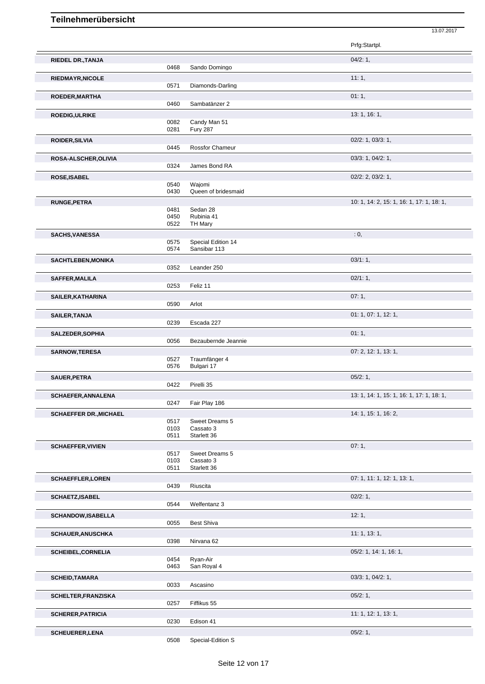|                               |              |                                    | Prfg:Startpl.                             |
|-------------------------------|--------------|------------------------------------|-------------------------------------------|
| <b>RIEDEL DR., TANJA</b>      |              |                                    | 04/2:1,                                   |
|                               | 0468         | Sando Domingo                      |                                           |
| <b>RIEDMAYR, NICOLE</b>       |              |                                    | 11:1,                                     |
|                               | 0571         | Diamonds-Darling                   |                                           |
| ROEDER, MARTHA                |              |                                    | 01:1,                                     |
|                               | 0460         | Sambatänzer 2                      |                                           |
|                               |              |                                    |                                           |
| <b>ROEDIG, ULRIKE</b>         | 0082         | Candy Man 51                       | 13: 1, 16: 1,                             |
|                               | 0281         | <b>Fury 287</b>                    |                                           |
|                               |              |                                    |                                           |
| ROIDER, SILVIA                | 0445         | Rossfor Chameur                    | 02/2: 1, 03/3: 1,                         |
|                               |              |                                    |                                           |
| ROSA-ALSCHER, OLIVIA          |              |                                    | 03/3: 1, 04/2: 1,                         |
|                               | 0324         | James Bond RA                      |                                           |
| <b>ROSE, ISABEL</b>           |              |                                    | 02/2: 2, 03/2: 1,                         |
|                               | 0540         | Wajomi                             |                                           |
|                               | 0430         | Queen of bridesmaid                |                                           |
| <b>RUNGE, PETRA</b>           |              |                                    | 10: 1, 14: 2, 15: 1, 16: 1, 17: 1, 18: 1, |
|                               | 0481         | Sedan 28                           |                                           |
|                               | 0450<br>0522 | Rubinia 41<br><b>TH Mary</b>       |                                           |
|                               |              |                                    |                                           |
| <b>SACHS, VANESSA</b>         |              |                                    | : 0,                                      |
|                               | 0575<br>0574 | Special Edition 14<br>Sansibar 113 |                                           |
|                               |              |                                    |                                           |
| <b>SACHTLEBEN, MONIKA</b>     |              |                                    | 03/1:1,                                   |
|                               | 0352         | Leander 250                        |                                           |
| <b>SAFFER, MALILA</b>         |              |                                    | 02/1:1,                                   |
|                               | 0253         | Feliz 11                           |                                           |
| SAILER, KATHARINA             |              |                                    | 07:1,                                     |
|                               | 0590         | Arlot                              |                                           |
| SAILER, TANJA                 |              |                                    | 01: 1, 07: 1, 12: 1,                      |
|                               | 0239         | Escada 227                         |                                           |
| SALZEDER, SOPHIA              |              |                                    | 01:1,                                     |
|                               | 0056         | Bezaubernde Jeannie                |                                           |
|                               |              |                                    |                                           |
| <b>SARNOW, TERESA</b>         | 0527         | Traumfänger 4                      | 07: 2, 12: 1, 13: 1,                      |
|                               | 0576         | Bulgari 17                         |                                           |
|                               |              |                                    | 05/2:1,                                   |
| SAUER, PETRA                  | 0422         | Pirelli 35                         |                                           |
|                               |              |                                    |                                           |
| <b>SCHAEFER, ANNALENA</b>     |              |                                    | 13: 1, 14: 1, 15: 1, 16: 1, 17: 1, 18: 1, |
|                               | 0247         | Fair Play 186                      |                                           |
| <b>SCHAEFFER DR., MICHAEL</b> |              |                                    | 14: 1, 15: 1, 16: 2,                      |
|                               | 0517         | Sweet Dreams 5                     |                                           |
|                               | 0103<br>0511 | Cassato 3<br>Starlett 36           |                                           |
|                               |              |                                    |                                           |
| <b>SCHAEFFER, VIVIEN</b>      |              |                                    | 07:1,                                     |
|                               | 0517<br>0103 | Sweet Dreams 5<br>Cassato 3        |                                           |
|                               | 0511         | Starlett 36                        |                                           |
|                               |              |                                    |                                           |
| <b>SCHAEFFLER, LOREN</b>      | 0439         | Riuscita                           | 07: 1, 11: 1, 12: 1, 13: 1,               |
|                               |              |                                    |                                           |
| <b>SCHAETZ, ISABEL</b>        |              |                                    | 02/2: 1,                                  |
|                               | 0544         | Welfentanz 3                       |                                           |
| <b>SCHANDOW, ISABELLA</b>     |              |                                    | 12:1,                                     |
|                               | 0055         | Best Shiva                         |                                           |
| <b>SCHAUER, ANUSCHKA</b>      |              |                                    | 11: 1, 13: 1,                             |
|                               | 0398         | Nirvana 62                         |                                           |
| <b>SCHEIBEL,CORNELIA</b>      |              |                                    | 05/2: 1, 14: 1, 16: 1,                    |
|                               | 0454         | Ryan-Air                           |                                           |
|                               | 0463         | San Royal 4                        |                                           |
| <b>SCHEID, TAMARA</b>         |              |                                    | 03/3: 1, 04/2: 1,                         |
|                               | 0033         | Ascasino                           |                                           |
| <b>SCHELTER, FRANZISKA</b>    |              |                                    | 05/2:1,                                   |
|                               | 0257         | Fiffikus 55                        |                                           |
|                               |              |                                    |                                           |
| <b>SCHERER, PATRICIA</b>      |              |                                    | 11: 1, 12: 1, 13: 1,                      |
|                               | 0230         | Edison 41                          |                                           |
| <b>SCHEUERER, LENA</b>        |              |                                    | 05/2:1,                                   |
|                               | 0508         | Special-Edition S                  |                                           |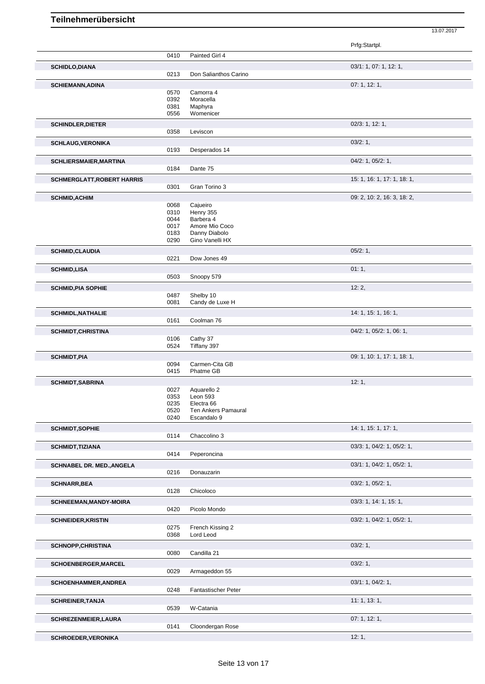Prfg:Startpl. 0410 Painted Girl 4 **SCHIDLO,DIANA** 03/1: 1, 07: 1, 12: 1, 0213 Don Salianthos Carino **SCHIEMANN,ADINA** 07: 1, 12: 1, 0570 Camorra 4 0570 Camorra 4<br>0392 Moracella Moracella 0381 Maphyra 0556 Womenicer **SCHINDLER, DIETER** 02/3: 1, 12: 1, 0358 Leviscon **SCHLAUG,VERONIKA** 03/2: 1, 0193 Desperados 14 **SCHLIERSMAIER,MARTINA** 04/2: 1, 05/2: 1, 0184 Dante 75 **SCHMERGLATT,ROBERT HARRIS** 15: 1, 16: 1, 17: 1, 18: 1, 0301 Gran Torino 3 **SCHMID,ACHIM** 09: 2, 10: 2, 16: 3, 18: 2, 19: 2, 16: 3, 18: 2, 19: 2, 16: 3, 18: 2, 19: 2, 16: 3, 18: 2, 19: 2, 19: 2, 19: 2, 16: 3, 18: 2, 19: 2, 16: 3, 18: 2, 19: 2, 19: 2, 19: 2, 19: 2, 19: 2, 19: 2, 19: 2, 19: 2, 19: 0068 Cajueiro<br>0310 Henry 35 0310 Henry 355<br>0044 Barbera 4 0044 Barbera 4<br>0017 Amore Mio 0017 Amore Mio Coco<br>0183 Danny Diabolo 0183 Danny Diabolo<br>0290 Gino Vanelli H) Gino Vanelli HX **SCHMID,CLAUDIA** 05/2: 1, 0221 Dow Jones 49 Dow Jones 49 **SCHMID,LISA** 01: 1, 0503 Snoopy 579 **SCHMID,PIA SOPHIE** 12: 2, 0487 Shelby 10 0081 Candy de Luxe H **SCHMIDL,NATHALIE** 14: 1, 15: 1, 16: 1, 16: 1, 16: 1, 16: 1, 16: 1, 16: 1, 16: 1, 16: 1, 16: 1, 16: 1, 16: 1, 16: 1, Coolman 76 **SCHMIDT,CHRISTINA** 04/2: 1, 05/2: 1, 06: 1, 0106 Cathy 37<br>0524 Tiffany 39 Tiffany 397 **SCHMIDT,PIA** 09: 1, 10: 1, 17: 1, 18: 1, 0094 Carmen-Cita GB 0415 Phatme GB **SCHMIDT,SABRINA** 12: 1, 1, 2: 1, 2: 1, 2: 1, 2: 1, 2: 1, 2: 1, 2: 1, 2: 1, 2: 1, 2: 1, 2: 1, 2: 1, 2: 1, 2: 1, 2: 1, 2: 1, 2: 1, 2: 1, 2: 1, 2: 1, 2: 1, 2: 1, 2: 1, 2: 1, 2: 1, 2: 1, 2: 1, 2: 1, 2: 1, 2: 1, 2: 1, 2: 1, 2: 0027 Aquarello 2<br>0353 Leon 593 0353 Leon 593<br>0235 Electra 66 0235 Electra 66<br>0520 Ten Anker 0520 Ten Ankers Pamaural<br>0240 Escandalo 9 Escandalo 9 **SCHMIDT,SOPHIE** 14: 1, 15: 1, 17: 1, Chaccolino 3 **SCHMIDT,TIZIANA** 03/3: 1, 04/2: 1, 05/2: 1, 0414 Peperoncina **SCHNABEL DR. MED.,ANGELA** 03/1: 1, 04/2: 1, 05/2: 1, 0216 Donauzarin **SCHNARR,BEA** 03/2: 1, 05/2: 1, 05/2: 1, 05/2: 1, 05/2: 1, 05/2: 1, 05/2: 1, 05/2: 1, 05/2: 1, 05/2: 1, 05/2: 1, 05/2: 1, 05/2: 1, 05/2: 1, 05/2: 1, 05/2: 1, 05/2: 1, 05/2: 1, 05/2: 1, 05/2: 1, 05/2: 1, 05/2: 1, 05/2: 1, 0 0128 Chicoloco **SCHNEEMAN,MANDY-MOIRA** 03/3: 1, 14: 1, 15: 1, 0420 Picolo Mondo **SCHNEIDER,KRISTIN** 03/2: 1, 04/2: 1, 05/2: 1, 0275 French Kissing 2 0368 Lord Leod **SCHNOPP, CHRISTINA** 03/2: 1, 0080 Candilla 21 **SCHOENBERGER,MARCEL** 03/2: 1, 0029 Armageddon 55 **SCHOENHAMMER,ANDREA** 03/1: 1, 04/2: 1, 0248 Fantastischer Peter **SCHREINER,TANJA** 11: 1, 13: 1, 0539 W-Catania **SCHREZENMEIER,LAURA** 07: 1, 12: 1,<br>
07: 1, 12: 1, Cloondergan Rose **SCHROEDER,VERONIKA** 12: 1,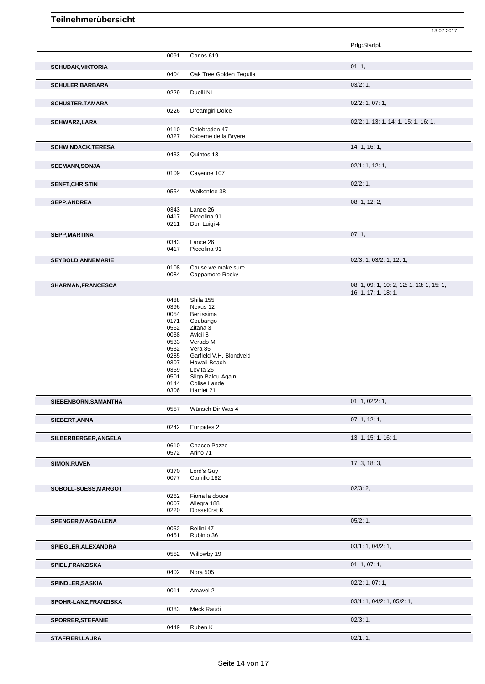Prfg:Startpl. 0091 Carlos 619 **SCHUDAK,VIKTORIA** 01: 1, 00: 1, 00: 1, 00: 1, 00: 1, 00: 1, 00: 1, 00: 1, 00: 1, 00: 1, 00: 1, 00: 1, 00: 1, 00: 1, 00: 1, 00: 1, 00: 1, 00: 1, 00: 1, 00: 1, 00: 1, 00: 1, 00: 1, 00: 1, 00: 1, 00: 1, 00: 00: 1, 00: 00: 00 0404 Oak Tree Golden Tequila **SCHULER,BARBARA** 03/2: 1, 0229 Duelli NL Duelli NL **SCHUSTER,TAMARA** 02/2: 1, 07: 1, 02/2: 1, 07: 1, 02/2: 1, 07: 1, 02/2: 1, 07: 1, 02/2: 1, 07: 1, 02/2: 1, 07: 1, Dreamgirl Dolce **SCHWARZ,LARA** 02/2: 1, 13: 1, 16: 1, 16: 1, 16: 1, 16: 1, 16: 1, 16: 1, 16: 1, 16: 1, 16: 1, 16: 1, 16: 1, 16: 1, 16: 1, 16: 1, 16: 1, 16: 1, 16: 1, 16: 1, 16: 1, 16: 1, 16: 1, 16: 1, 16: 1, 16: 1, 16: 1, 16: 1, 16: 1, 16 0110 Celebration 47<br>0327 Kaberne de la l Kaberne de la Bryere **SCHWINDACK,TERESA** 14: 1, 16: 1, 0433 Quintos 13 **SEEMANN,SONJA** 02/1: 1, 12: 1, 02/1: 1, 12: 1, 02/1: 1, 12: 1, 02/1: 1, 12: 1, 02/1: 1, 12: 1, 02/1: 1, 12: 1, 02/1: 1, 12: 1, 02/1: 1, 12: 1, 02/1: 1, 12: 1, 02/1: 01/09 Cayenne 107 Cayenne 107 **SENFT, CHRISTIN** 02/2: 1, 02/2: 1, 02/2: 1, 02/2: 1, 02/2: 1, 02/2: 1, 02/2: 1, 02/2: 1, 02/2: 1, 02/2: 1, 0554 Wolkenfee 38 **SEPP,ANDREA** 08: 1, 12: 2, 0343 Lance 26 **District 20: 20: 20: 20: 20: 20: 20: 20:** 0343 Lance 26 0343 Lance 26<br>0417 Piccolina 0417 Piccolina 91<br>0211 Don Luigi 4 Don Luigi 4 **SEPP,MARTINA** 07: 1, 0343 Lance 26 0343 Lance 26<br>0417 Piccolina Piccolina 91 **SEYBOLD,ANNEMARIE** 02/3: 1, 03/2: 1, 12: 1, 03/2: 1, 12: 1, 03/2: 1, 12: 1, 03/2: 1, 12: 1, 03/2: 1, 12: 1, Cause we make sure 0084 Cappamore Rocky **SHARMAN,FRANCESCA** 08: 1, 09: 1, 10: 2, 12: 1, 13: 1, 15: 1, 16: 1, 17: 1, 18: 1, 0488 Shila 155 0396 Nexus 12<br>0054 Berlissima 0054 Berlissima<br>0171 Coubango 0171 Coubango<br>0562 Zitana 3 0562 Zitana 3 0038 Avicii 8<br>0533 Verado 0533 Verado M<br>0532 Vera 85 0532 Vera 85<br>0285 Garfield 0285 Garfield V.H. Blondveld<br>0307 Hawaii Beach 0307 Hawaii Beach<br>0359 Levita 26 0359 Levita 26<br>0501 Sligo Balo Sligo Balou Again 0144 Colise Lande<br>0306 Harriet 21 Harriet 21 **SIEBENBORN, SAMANTHA** 0557 Wünsch Dir Was 4 01: 1, 02/2: 1, Wünsch Dir Was 4 **SIEBERT,ANNA** 07: 1, 12: 1, 0242 Euripides 2 Euripides 2 **SILBERBERGER, ANGELA** 13: 1, 15: 1, 16: 1, 16: 1, 16: 1, 16: 1, 16: 1, 16: 1, 16: 1, 16: 1, 16: 1, 16: 1, 16: 1, 16: 1, 16: 1, 16: 1, 16: 1, 16: 1, 16: 1, 16: 1, 16: 1, 16: 1, 16: 1, 16: 1, 16: 1, 16: 1, 16: 1, 16: 1, 16: Chacco Pazzo 0572 Arino 71 **SIMON,RUVEN** 17: 3, 18: 3, 0370 Lord's Guy<br>0077 Camillo 18 Camillo 182 **SOBOLL-SUESS, MARGOT** 02/3: 2,<br>
02/3: 2, 02/3: 2, 02/42 Fiona la douce 0262 Fiona la douce<br>0007 Allegra 188 Allegra 188 0220 Dossefürst K **SPENGER,MAGDALENA** 05/2: 1, 0052 Bellini 47<br>0451 Rubinio 3 Rubinio 36 **SPIEGLER, ALEXANDRA** 03/1: 1, 04/2: 1, 0552 Willowby 19 **SPIEL,FRANZISKA** 01: 1, 07: 1, 0402 Nora 505 **SPINDLER,SASKIA** 02/2: 1, 07: 1, 07: 1, 07: 1, 07: 1, 07: 1, 07: 1, 07: 1, 07: 1, 07: 1, 07: 1, 07: 1, 07: 1, 07: 1, 07: 1, 07: 1, 07: 1, 07: 02/2: 1, 07: 1, 07: 02/2: 1, 07: 1, 07: 02/2: 1, 07: 02/2: 1, 07: 02/2: 02/2: 0 Amavel 2 **SPOHR-LANZ,FRANZISKA** 03/1: 1, 04/2: 1, 05/2: 1, Meck Raudi **SPORRER,STEFANIE** 02/3: 1, 0449 Ruben K<br>
02/3: 1, 0449 Ruben K

13.07.2017

Ruben K **STAFFIERI,LAURA** 02/1: 1,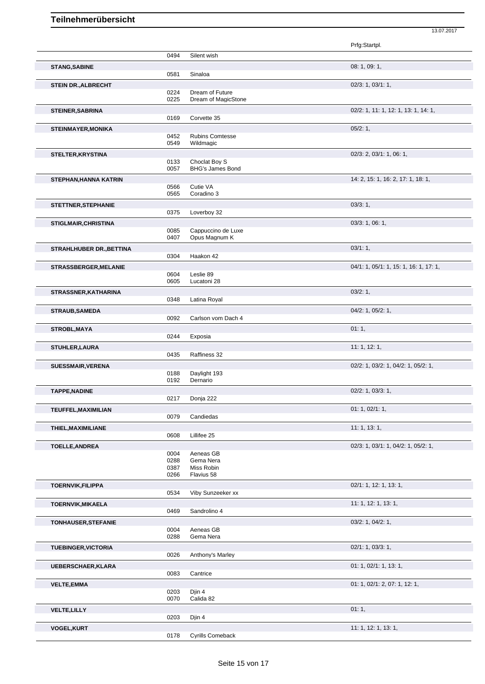|                                 |              |                                        | Prfg:Startpl.                          |
|---------------------------------|--------------|----------------------------------------|----------------------------------------|
|                                 | 0494         | Silent wish                            |                                        |
| <b>STANG, SABINE</b>            |              |                                        | 08: 1, 09: 1,                          |
|                                 | 0581         | Sinaloa                                |                                        |
| <b>STEIN DR., ALBRECHT</b>      |              |                                        | 02/3: 1, 03/1: 1,                      |
|                                 | 0224<br>0225 | Dream of Future<br>Dream of MagicStone |                                        |
| <b>STEINER, SABRINA</b>         |              |                                        | 02/2: 1, 11: 1, 12: 1, 13: 1, 14: 1,   |
|                                 | 0169         | Corvette 35                            |                                        |
| <b>STEINMAYER, MONIKA</b>       |              |                                        | 05/2:1,                                |
|                                 | 0452         | <b>Rubins Comtesse</b>                 |                                        |
|                                 | 0549         | Wildmagic                              |                                        |
| STELTER, KRYSTINA               | 0133         | Choclat Boy S                          | 02/3: 2, 03/1: 1, 06: 1,               |
|                                 | 0057         | <b>BHG's James Bond</b>                |                                        |
| STEPHAN, HANNA KATRIN           |              |                                        | 14: 2, 15: 1, 16: 2, 17: 1, 18: 1,     |
|                                 | 0566         | Cutie VA                               |                                        |
|                                 | 0565         | Coradino 3                             |                                        |
| <b>STETTNER, STEPHANIE</b>      | 0375         | Loverboy 32                            | 03/3:1,                                |
| <b>STIGLMAIR, CHRISTINA</b>     |              |                                        | 03/3: 1, 06: 1,                        |
|                                 | 0085         | Cappuccino de Luxe                     |                                        |
|                                 | 0407         | Opus Magnum K                          |                                        |
| <b>STRAHLHUBER DR., BETTINA</b> |              |                                        | 03/1:1,                                |
|                                 | 0304         | Haakon 42                              |                                        |
| <b>STRASSBERGER, MELANIE</b>    | 0604         | Leslie 89                              | 04/1: 1, 05/1: 1, 15: 1, 16: 1, 17: 1, |
|                                 | 0605         | Lucatoni 28                            |                                        |
| STRASSNER, KATHARINA            |              |                                        | 03/2:1,                                |
|                                 | 0348         | Latina Royal                           |                                        |
| <b>STRAUB, SAMEDA</b>           |              |                                        | 04/2: 1, 05/2: 1,                      |
|                                 | 0092         | Carlson vom Dach 4                     |                                        |
| <b>STROBL, MAYA</b>             | 0244         | Exposia                                | 01:1,                                  |
| <b>STUHLER, LAURA</b>           |              |                                        | 11:1, 12:1,                            |
|                                 | 0435         | Raffiness 32                           |                                        |
| <b>SUESSMAIR, VERENA</b>        |              |                                        | 02/2: 1, 03/2: 1, 04/2: 1, 05/2: 1,    |
|                                 | 0188         | Daylight 193                           |                                        |
|                                 | 0192         | Dernario                               |                                        |
| <b>TAPPE, NADINE</b>            | 0217         | Donja 222                              | 02/2: 1, 03/3: 1,                      |
| TEUFFEL, MAXIMILIAN             |              |                                        | 01: 1, 02/1: 1,                        |
|                                 | 0079         | Candiedas                              |                                        |
| THIEL, MAXIMILIANE              |              |                                        | 11: 1, 13: 1,                          |
|                                 | 0608         | Lillifee 25                            |                                        |
| <b>TOELLE, ANDREA</b>           |              |                                        | 02/3: 1, 03/1: 1, 04/2: 1, 05/2: 1,    |
|                                 | 0004<br>0288 | Aeneas GB<br>Gema Nera                 |                                        |
|                                 | 0387         | Miss Robin                             |                                        |
|                                 | 0266         | Flavius 58                             |                                        |
| <b>TOERNVIK, FILIPPA</b>        | 0534         | Viby Sunzeeker xx                      | 02/1: 1, 12: 1, 13: 1,                 |
|                                 |              |                                        | 11: 1, 12: 1, 13: 1,                   |
| <b>TOERNVIK, MIKAELA</b>        | 0469         | Sandrolino 4                           |                                        |
| <b>TONHAUSER, STEFANIE</b>      |              |                                        | 03/2: 1, 04/2: 1,                      |
|                                 | 0004         | Aeneas GB                              |                                        |
|                                 | 0288         | Gema Nera                              |                                        |
| <b>TUEBINGER, VICTORIA</b>      | 0026         | Anthony's Marley                       | 02/1: 1, 03/3: 1,                      |
|                                 |              |                                        | 01: 1, 02/1: 1, 13: 1,                 |
| UEBERSCHAER, KLARA              | 0083         | Cantrice                               |                                        |
| <b>VELTE, EMMA</b>              |              |                                        | 01: 1, 02/1: 2, 07: 1, 12: 1,          |
|                                 | 0203         | Djin 4                                 |                                        |
|                                 | 0070         | Calida 82                              |                                        |
| <b>VELTE, LILLY</b>             |              |                                        | 01:1,                                  |
|                                 | 0203         | Djin 4                                 |                                        |
| <b>VOGEL, KURT</b>              | 0178         | Cyrills Comeback                       | 11: 1, 12: 1, 13: 1,                   |
|                                 |              |                                        |                                        |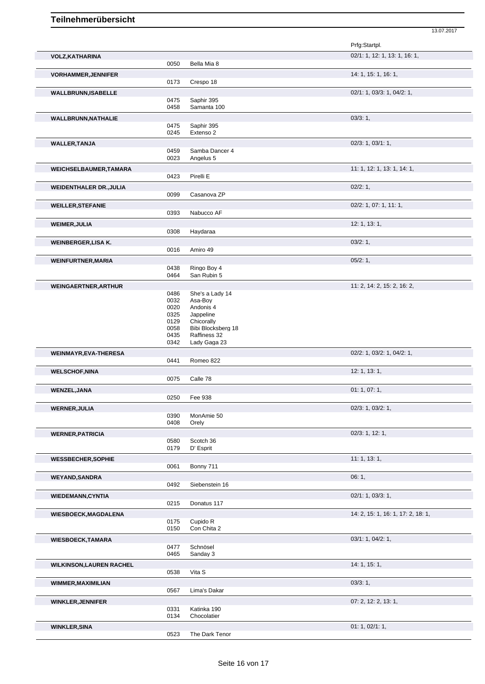|                                 |              |                              | Prfg:Startpl.                      |
|---------------------------------|--------------|------------------------------|------------------------------------|
| <b>VOLZ, KATHARINA</b>          | 0050         | Bella Mia 8                  | 02/1: 1, 12: 1, 13: 1, 16: 1,      |
| <b>VORHAMMER, JENNIFER</b>      |              | Crespo 18                    | 14: 1, 15: 1, 16: 1,               |
|                                 | 0173         |                              |                                    |
| <b>WALLBRUNN,ISABELLE</b>       | 0475<br>0458 | Saphir 395<br>Samanta 100    | $02/1$ : 1, 03/3: 1, 04/2: 1,      |
| <b>WALLBRUNN, NATHALIE</b>      |              |                              | 03/3:1,                            |
|                                 | 0475<br>0245 | Saphir 395<br>Extenso 2      |                                    |
| <b>WALLER, TANJA</b>            | 0459         | Samba Dancer 4               | $02/3$ : 1, $03/1$ : 1,            |
|                                 | 0023         | Angelus 5                    |                                    |
| <b>WEICHSELBAUMER, TAMARA</b>   | 0423         | Pirelli E                    | 11: 1, 12: 1, 13: 1, 14: 1,        |
| <b>WEIDENTHALER DR., JULIA</b>  |              |                              | 02/2:1,                            |
|                                 | 0099         | Casanova ZP                  |                                    |
| <b>WEILLER, STEFANIE</b>        |              |                              | $02/2$ : 1, 07: 1, 11: 1,          |
|                                 | 0393         | Nabucco AF                   |                                    |
| <b>WEIMER, JULIA</b>            |              |                              | 12: 1, 13: 1,                      |
|                                 | 0308         | Haydaraa                     |                                    |
| <b>WEINBERGER,LISA K.</b>       | 0016         | Amiro 49                     | 03/2:1,                            |
|                                 |              |                              |                                    |
| <b>WEINFURTNER, MARIA</b>       | 0438         | Ringo Boy 4                  | 05/2:1,                            |
|                                 | 0464         | San Rubin 5                  |                                    |
| <b>WEINGAERTNER, ARTHUR</b>     |              |                              | 11: 2, 14: 2, 15: 2, 16: 2,        |
|                                 | 0486         | She's a Lady 14              |                                    |
|                                 | 0032<br>0020 | Asa-Boy<br>Andonis 4         |                                    |
|                                 | 0325         | Jappeline                    |                                    |
|                                 | 0129         | Chicorally                   |                                    |
|                                 | 0058         | Bibi Blocksberg 18           |                                    |
|                                 | 0435<br>0342 | Raffiness 32<br>Lady Gaga 23 |                                    |
| <b>WEINMAYR, EVA-THERESA</b>    |              |                              | 02/2: 1, 03/2: 1, 04/2: 1,         |
|                                 | 0441         | Romeo 822                    |                                    |
| <b>WELSCHOF, NINA</b>           |              |                              | 12: 1, 13: 1,                      |
|                                 | 0075         | Calle 78                     |                                    |
| <b>WENZEL, JANA</b>             |              |                              | 01: 1, 07: 1,                      |
|                                 | 0250         | Fee 938                      |                                    |
| <b>WERNER, JULIA</b>            |              |                              | 02/3: 1, 03/2: 1,                  |
|                                 | 0390<br>0408 | MonAmie 50<br>Orely          |                                    |
| <b>WERNER, PATRICIA</b>         |              |                              | $02/3$ : 1, 12: 1,                 |
|                                 | 0580         | Scotch 36                    |                                    |
|                                 | 0179         | D' Esprit                    |                                    |
| <b>WESSBECHER, SOPHIE</b>       |              |                              | 11: 1, 13: 1,                      |
|                                 | 0061         | Bonny 711                    |                                    |
| <b>WEYAND, SANDRA</b>           | 0492         | Siebenstein 16               | 06:1,                              |
| <b>WIEDEMANN, CYNTIA</b>        |              |                              | 02/1: 1, 03/3: 1,                  |
|                                 | 0215         | Donatus 117                  |                                    |
| <b>WIESBOECK, MAGDALENA</b>     |              |                              | 14: 2, 15: 1, 16: 1, 17: 2, 18: 1, |
|                                 | 0175         | Cupido R                     |                                    |
|                                 | 0150         | Con Chita 2                  |                                    |
| <b>WIESBOECK,TAMARA</b>         |              |                              | 03/1: 1, 04/2: 1,                  |
|                                 | 0477<br>0465 | Schnösel<br>Sanday 3         |                                    |
| <b>WILKINSON, LAUREN RACHEL</b> |              |                              | 14:1, 15:1,                        |
|                                 | 0538         | Vita S                       |                                    |
| WIMMER, MAXIMILIAN              |              |                              | 03/3:1,                            |
|                                 | 0567         | Lima's Dakar                 |                                    |
| <b>WINKLER, JENNIFER</b>        |              |                              | 07: 2, 12: 2, 13: 1,               |
|                                 | 0331         | Katinka 190                  |                                    |
|                                 | 0134         | Chocolatier                  |                                    |
| <b>WINKLER, SINA</b>            | 0523         | The Dark Tenor               | 01: 1, 02/1: 1,                    |
|                                 |              |                              |                                    |